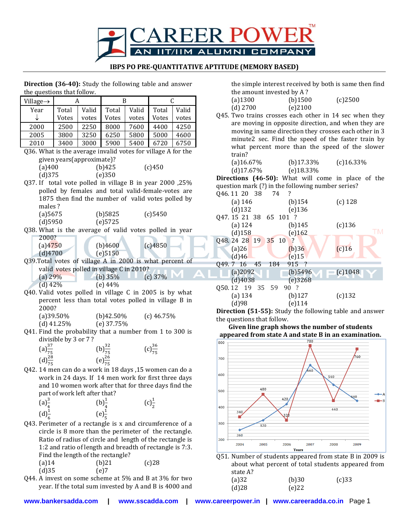

## **IBPS PO PRE-QUANTITATIVE APTITUDE (MEMORY BASED)**

**Direction (36-40):** Study the following table and answer the questions that follow.

| Village->                                                    | A                                                    |       | B                                          |       | C                   |       |  |
|--------------------------------------------------------------|------------------------------------------------------|-------|--------------------------------------------|-------|---------------------|-------|--|
| Year                                                         | Total                                                | Valid | Total                                      | Valid | Total               | Valid |  |
|                                                              | Votes                                                | votes | Votes                                      | votes | Votes               | votes |  |
| 2000                                                         | 2500                                                 | 2250  | 8000                                       | 7600  | 4400                | 4250  |  |
| 2005                                                         | 3800                                                 | 3250  | 6250                                       | 5800  | 5000                | 4600  |  |
| 2010                                                         | 3400                                                 | 3000  | 5900                                       | 5400  | 6720                | 6750  |  |
| Q36. What is the average invalid votes for village A for the |                                                      |       |                                            |       |                     |       |  |
|                                                              | given years(approximate)?                            |       |                                            |       |                     |       |  |
| (a)400                                                       |                                                      |       | (b)425                                     |       | (c)450              |       |  |
| (d)375                                                       |                                                      |       | (e)350                                     |       |                     |       |  |
| Q37. If total vote polled in village B in year 2000, 25%     |                                                      |       |                                            |       |                     |       |  |
|                                                              | polled by females and total valid-female-votes are   |       |                                            |       |                     |       |  |
|                                                              | 1875 then find the number of valid votes polled by   |       |                                            |       |                     |       |  |
| males?                                                       |                                                      |       |                                            |       |                     |       |  |
| (a) 5675                                                     |                                                      |       | $(b)$ 5825                                 |       | (c) 5450            |       |  |
| $(d)$ 5950                                                   |                                                      |       | (e) 5725                                   |       |                     |       |  |
| Q38. What is the average of valid votes polled in year       |                                                      |       |                                            |       |                     |       |  |
| 2000?                                                        |                                                      |       |                                            |       |                     |       |  |
| (a)4750                                                      |                                                      |       | (b)4600                                    |       | (c)4850             |       |  |
| (d)4700                                                      |                                                      |       | (e) 5 1 5 0                                |       |                     |       |  |
| Q39.Total votes of village A in 2000 is what percent of      |                                                      |       |                                            |       |                     |       |  |
|                                                              | valid votes polled in village C in 2010?             |       |                                            |       |                     |       |  |
| (a) $29\%$                                                   |                                                      |       | (b) $35%$                                  |       | $(c)$ 37%           |       |  |
| $(d)$ 42%                                                    |                                                      |       | (e) 44%                                    |       |                     |       |  |
| Q40. Valid votes polled in village C in 2005 is by what      | percent less than total votes polled in village B in |       |                                            |       |                     |       |  |
| 2000?                                                        |                                                      |       |                                            |       |                     |       |  |
|                                                              | $(a)39.50\%$                                         |       | (b)42.50%                                  |       | $(c)$ 46.75%        |       |  |
|                                                              | (d) $41.25\%$                                        |       | (e) 37.75%                                 |       |                     |       |  |
| Q41. Find the probability that a number from 1 to 300 is     |                                                      |       |                                            |       |                     |       |  |
|                                                              | divisible by 3 or 7?                                 |       |                                            |       |                     |       |  |
|                                                              |                                                      |       |                                            |       |                     |       |  |
| $\left(a\right)_{\frac{75}{20}}^{37}$                        |                                                      |       |                                            |       | $(c) \frac{36}{75}$ |       |  |
| $(d)^{28}_{75}$                                              |                                                      |       | (b) $\frac{32}{75}$<br>(e) $\frac{26}{75}$ |       |                     |       |  |
| Q42. 14 men can do a work in 18 days, 15 women can do a      |                                                      |       |                                            |       |                     |       |  |
|                                                              | work in 24 days. If 14 men work for first three days |       |                                            |       |                     |       |  |

work in 24 days. If 14 men work for first three days and 10 women work after that for three days find the part of work left after that?

| $(a)^{\frac{3}{4}}$ |                          | (b) <sub>4</sub> <sup>1</sup> | (c) <sub>1</sub> <sup>1</sup> |
|---------------------|--------------------------|-------------------------------|-------------------------------|
| $(d)^{\frac{1}{6}}$ |                          | $(e)^{\frac{1}{2}}$           |                               |
| -                   | $\overline{\phantom{a}}$ |                               |                               |

- Q43. Perimeter of a rectangle is x and circumference of a circle is 8 more than the perimeter of the rectangle. Ratio of radius of circle and length of the rectangle is 1:2 and ratio of length and breadth of rectangle is 7:3. Find the length of the rectangle?  $(a)$ 14 (b)21 (c)28
- (d)35 (e)7 Q44. A invest on some scheme at 5% and B at 3% for two year. If the total sum invested by A and B is 4000 and

the simple interest received by both is same then find the amount invested by A ?

| $\mu$ and $\mu$ and $\mu$ and $\mu$ and $\mu$ and $\mu$ |         |         |
|---------------------------------------------------------|---------|---------|
| $(a)$ 1300                                              | (b)1500 | (c)2500 |
| $(d)$ 2700                                              | (e)2100 |         |
|                                                         |         |         |

Q45. Two trains crosses each other in 14 sec when they are moving in opposite direction, and when they are moving in same direction they crosses each other in 3 minute2 sec. Find the speed of the faster train by what percent more than the speed of the slower train?

| $(a)$ 16.67% | (b) $17.33\%$ | $(c)$ 16.33% |
|--------------|---------------|--------------|
| $(d)$ 17.67% | $(e)$ 18.33%  |              |

**Directions (46-50):** What will come in place of the question mark (?) in the following number series?

| Q46.11 20 38          | 74      | ?          |            |
|-----------------------|---------|------------|------------|
| (a) 146               |         | $(b)$ 154  | $(c)$ 128  |
| $(d)$ 132             |         | $(e)$ 136  |            |
| Q47.15 21 38 65 101 ? |         |            |            |
| $(a)$ 124             |         | $(b)$ 145  | $(c)$ 136  |
| $(d)$ 158             |         | (e)162     | ТM         |
| Q48.24 28 19 35 10    |         | $\sqrt{2}$ |            |
| (a)26                 |         | (b)36      | $(c)$ 16   |
| (d)46                 |         | $(e)$ 15   |            |
| Q49.7 16              | 45 184  | 915 ?      |            |
| (a) 2092              |         | $(b)$ 5496 | $(c)$ 1048 |
| (d)4038               |         | (e)3268    |            |
| Q50.12 19 35          | 59 90 ? |            |            |
| (a) 134               |         | $(b)$ 127  | $(c)$ 132  |
| (d)98                 |         | (e)114     |            |

**Direction (51-55):** Study the following table and answer the questions that follow.

**Given line graph shows the number of students appeared from state A and state B in an examination.**



Q51. Number of students appeared from state B in 2009 is about what percent of total students appeared from state A? (a)32 (b)30 (c)33 (d)28 (e)22